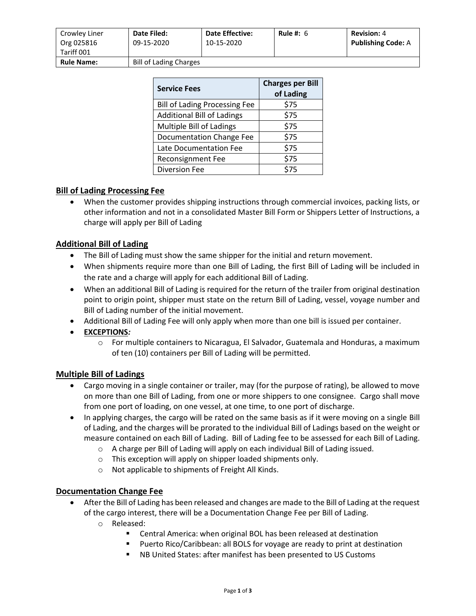| Crowley Liner<br>Org 025816<br>Tariff 001 | <b>Date Filed:</b><br>09-15-2020 | <b>Date Effective:</b><br>10-15-2020 | Rule #: $6$ | <b>Revision: 4</b><br><b>Publishing Code: A</b> |
|-------------------------------------------|----------------------------------|--------------------------------------|-------------|-------------------------------------------------|
| <b>Rule Name:</b>                         | <b>Bill of Lading Charges</b>    |                                      |             |                                                 |

| <b>Service Fees</b>                  | <b>Charges per Bill</b><br>of Lading |  |
|--------------------------------------|--------------------------------------|--|
| <b>Bill of Lading Processing Fee</b> | \$75                                 |  |
| <b>Additional Bill of Ladings</b>    | \$75                                 |  |
| Multiple Bill of Ladings             | \$75                                 |  |
| Documentation Change Fee             | \$75                                 |  |
| Late Documentation Fee               | \$75                                 |  |
| <b>Reconsignment Fee</b>             | \$75                                 |  |
| <b>Diversion Fee</b>                 | \$75                                 |  |

## **Bill of Lading Processing Fee**

• When the customer provides shipping instructions through commercial invoices, packing lists, or other information and not in a consolidated Master Bill Form or Shippers Letter of Instructions, a charge will apply per Bill of Lading

## **Additional Bill of Lading**

- The Bill of Lading must show the same shipper for the initial and return movement.
- When shipments require more than one Bill of Lading, the first Bill of Lading will be included in the rate and a charge will apply for each additional Bill of Lading.
- When an additional Bill of Lading is required for the return of the trailer from original destination point to origin point, shipper must state on the return Bill of Lading, vessel, voyage number and Bill of Lading number of the initial movement.
- Additional Bill of Lading Fee will only apply when more than one bill is issued per container.
- **EXCEPTIONS***:*
	- o For multiple containers to Nicaragua, El Salvador, Guatemala and Honduras, a maximum of ten (10) containers per Bill of Lading will be permitted.

## **Multiple Bill of Ladings**

- Cargo moving in a single container or trailer, may (for the purpose of rating), be allowed to move on more than one Bill of Lading, from one or more shippers to one consignee. Cargo shall move from one port of loading, on one vessel, at one time, to one port of discharge.
- In applying charges, the cargo will be rated on the same basis as if it were moving on a single Bill of Lading, and the charges will be prorated to the individual Bill of Ladings based on the weight or measure contained on each Bill of Lading. Bill of Lading fee to be assessed for each Bill of Lading.
	- o A charge per Bill of Lading will apply on each individual Bill of Lading issued.
	- o This exception will apply on shipper loaded shipments only.
	- o Not applicable to shipments of Freight All Kinds.

## **Documentation Change Fee**

- After the Bill of Lading has been released and changes are made to the Bill of Lading at the request of the cargo interest, there will be a Documentation Change Fee per Bill of Lading.
	- o Released:
		- Central America: when original BOL has been released at destination
		- Puerto Rico/Caribbean: all BOLS for voyage are ready to print at destination
		- NB United States: after manifest has been presented to US Customs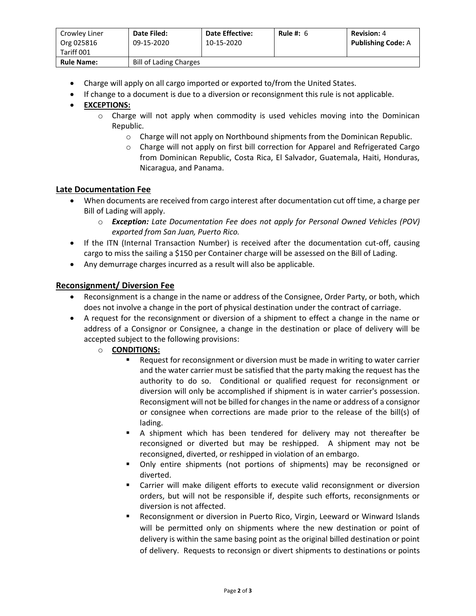| Crowley Liner<br>Org 025816<br>Tariff 001 | Date Filed:<br>09-15-2020     | <b>Date Effective:</b><br>10-15-2020 | Rule #: $6$ | <b>Revision: 4</b><br><b>Publishing Code: A</b> |
|-------------------------------------------|-------------------------------|--------------------------------------|-------------|-------------------------------------------------|
| <b>Rule Name:</b>                         | <b>Bill of Lading Charges</b> |                                      |             |                                                 |

- Charge will apply on all cargo imported or exported to/from the United States.
- If change to a document is due to a diversion or reconsignment this rule is not applicable.

## • **EXCEPTIONS:**

- o Charge will not apply when commodity is used vehicles moving into the Dominican Republic.
	- o Charge will not apply on Northbound shipments from the Dominican Republic.
	- o Charge will not apply on first bill correction for Apparel and Refrigerated Cargo from Dominican Republic, Costa Rica, El Salvador, Guatemala, Haiti, Honduras, Nicaragua, and Panama.

## **Late Documentation Fee**

- When documents are received from cargo interest after documentation cut off time, a charge per Bill of Lading will apply.
	- o *Exception: Late Documentation Fee does not apply for Personal Owned Vehicles (POV) exported from San Juan, Puerto Rico.*
- If the ITN (Internal Transaction Number) is received after the documentation cut-off, causing cargo to miss the sailing a \$150 per Container charge will be assessed on the Bill of Lading.
- Any demurrage charges incurred as a result will also be applicable.

#### **Reconsignment/ Diversion Fee**

- Reconsignment is a change in the name or address of the Consignee, Order Party, or both, which does not involve a change in the port of physical destination under the contract of carriage.
- A request for the reconsignment or diversion of a shipment to effect a change in the name or address of a Consignor or Consignee, a change in the destination or place of delivery will be accepted subject to the following provisions:
	- o **CONDITIONS:**
		- Request for reconsignment or diversion must be made in writing to water carrier and the water carrier must be satisfied that the party making the request has the authority to do so. Conditional or qualified request for reconsignment or diversion will only be accomplished if shipment is in water carrier's possession. Reconsigment will not be billed for changes in the name or address of a consignor or consignee when corrections are made prior to the release of the bill(s) of lading.
		- A shipment which has been tendered for delivery may not thereafter be reconsigned or diverted but may be reshipped. A shipment may not be reconsigned, diverted, or reshipped in violation of an embargo.
		- Only entire shipments (not portions of shipments) may be reconsigned or diverted.
		- Carrier will make diligent efforts to execute valid reconsignment or diversion orders, but will not be responsible if, despite such efforts, reconsignments or diversion is not affected.
		- Reconsignment or diversion in Puerto Rico, Virgin, Leeward or Winward Islands will be permitted only on shipments where the new destination or point of delivery is within the same basing point as the original billed destination or point of delivery. Requests to reconsign or divert shipments to destinations or points